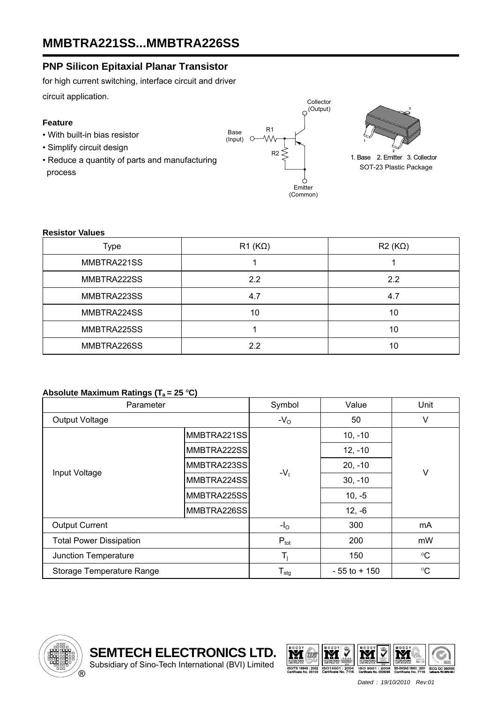### **PNP Silicon Epitaxial Planar Transistor**

for high current switching, interface circuit and driver circuit application.

### **Feature**

- With built-in bias resistor
- Simplify circuit design
- Reduce a quantity of parts and manufacturing process





1. Base 2. Emitter 3. Collector SOT-23 Plastic Package

#### **Resistor Values**

| Type        | $R1 (K\Omega)$ | $R2(K\Omega)$ |
|-------------|----------------|---------------|
| MMBTRA221SS |                |               |
| MMBTRA222SS | 2.2            | 2.2           |
| MMBTRA223SS | 4.7            | 4.7           |
| MMBTRA224SS | 10             | 10            |
| MMBTRA225SS |                | 10            |
| MMBTRA226SS | 2.2            | 10            |

### Absolute Maximum Ratings (T<sub>a</sub> = 25 °C)

| Parameter                      |             | Symbol                     | Value           | Unit            |  |
|--------------------------------|-------------|----------------------------|-----------------|-----------------|--|
| <b>Output Voltage</b>          |             | $-VO$                      | 50              | ٧               |  |
| Input Voltage                  | MMBTRA221SS | $-V1$                      | $10, -10$       | $\vee$          |  |
|                                | MMBTRA222SS |                            | $12, -10$       |                 |  |
|                                | MMBTRA223SS |                            | $20, -10$       |                 |  |
|                                | MMBTRA224SS |                            | $30, -10$       |                 |  |
|                                | MMBTRA225SS |                            | $10, -5$        |                 |  |
|                                | MMBTRA226SS |                            | $12, -6$        |                 |  |
| <b>Output Current</b>          |             | $-IO$                      | 300             | mA              |  |
| <b>Total Power Dissipation</b> |             | $P_{\text{tot}}$           | 200             | mW              |  |
| Junction Temperature           |             | $T_i$                      | 150             | $\rm ^{\circ}C$ |  |
| Storage Temperature Range      |             | ${\mathsf T}_{\text{stg}}$ | $-55$ to $+150$ | $\rm ^{\circ}C$ |  |



**SEMTECH ELECTRONICS LTD.**  Subsidiary of Sino-Tech International (BVI) Limited

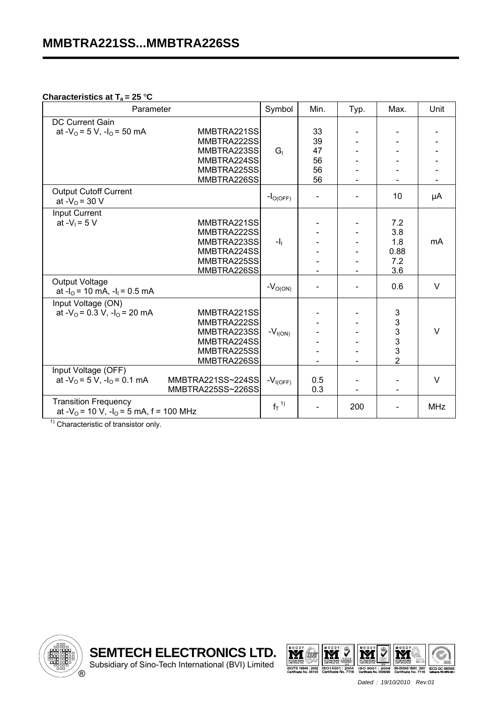#### **Characteristics at T<sub>a</sub> = 25 °C**

| Parameter                                                                                |                                                                                        | Symbol       | Min.                             | Typ. | Max.                                                            | Unit       |
|------------------------------------------------------------------------------------------|----------------------------------------------------------------------------------------|--------------|----------------------------------|------|-----------------------------------------------------------------|------------|
| DC Current Gain<br>at - $V_0$ = 5 V, -l <sub>0</sub> = 50 mA                             | MMBTRA221SS<br>MMBTRA222SS<br>MMBTRA223SS<br>MMBTRA224SS<br>MMBTRA225SS<br>MMBTRA226SS | $G_{1}$      | 33<br>39<br>47<br>56<br>56<br>56 |      |                                                                 |            |
| <b>Output Cutoff Current</b><br>at $-V_0 = 30 V$                                         |                                                                                        | $-IO(OFF)$   |                                  |      | 10                                                              | μA         |
| Input Current<br>at $-V_1 = 5 V$                                                         | MMBTRA221SS<br>MMBTRA222SS<br>MMBTRA223SS<br>MMBTRA224SS<br>MMBTRA225SS<br>MMBTRA226SS | $-1$         |                                  |      | 7.2<br>3.8<br>1.8<br>0.88<br>7.2<br>3.6                         | mA         |
| <b>Output Voltage</b><br>at $-I_0$ = 10 mA, $-I_1$ = 0.5 mA                              |                                                                                        | $-VO(ON)$    |                                  |      | 0.6                                                             | $\vee$     |
| Input Voltage (ON)<br>at - $V_0$ = 0.3 V, -l <sub>0</sub> = 20 mA<br>Input Voltage (OFF) | MMBTRA221SS<br>MMBTRA222SS<br>MMBTRA223SS<br>MMBTRA224SS<br>MMBTRA225SS<br>MMBTRA226SS | $-V_{I(ON)}$ |                                  |      | $\mathbf{3}$<br>$\begin{array}{c} 3 \\ 3 \\ 3 \\ 2 \end{array}$ | $\vee$     |
| at $-V_0 = 5 V$ , $-I_0 = 0.1 mA$                                                        | MMBTRA221SS~224SS<br>MMBTRA225SS~226SS                                                 | $-VI(OFF)$   | 0.5<br>0.3                       |      |                                                                 | $\vee$     |
| <b>Transition Frequency</b><br>at $-V_0$ = 10 V, $-I_0$ = 5 mA, f = 100 MHz              |                                                                                        | $f_T^{1}$    |                                  | 200  |                                                                 | <b>MHz</b> |

 $<sup>1)</sup>$  Characteristic of transistor only.</sup>



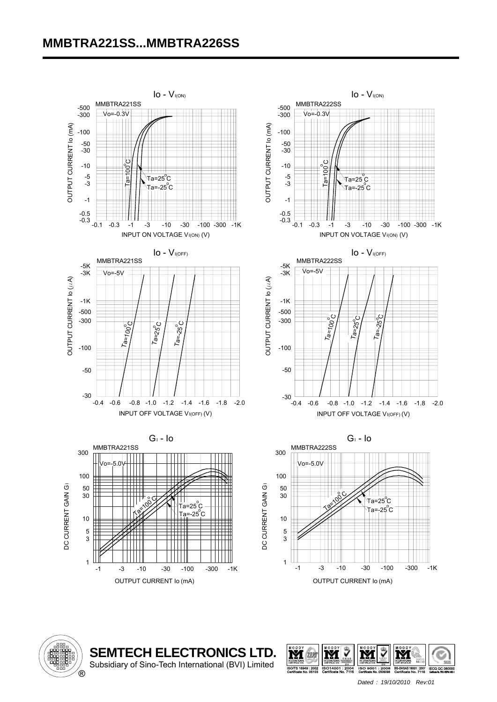# **MMBTRA221SS...MMBTRA226SS**





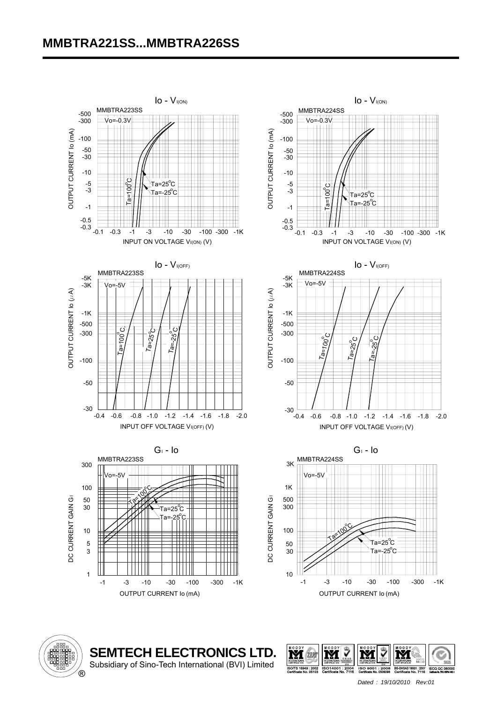# **MMBTRA221SS...MMBTRA226SS**





**SEMTECH ELECTRONICS LTD.**  Subsidiary of Sino-Tech International (BVI) Limited